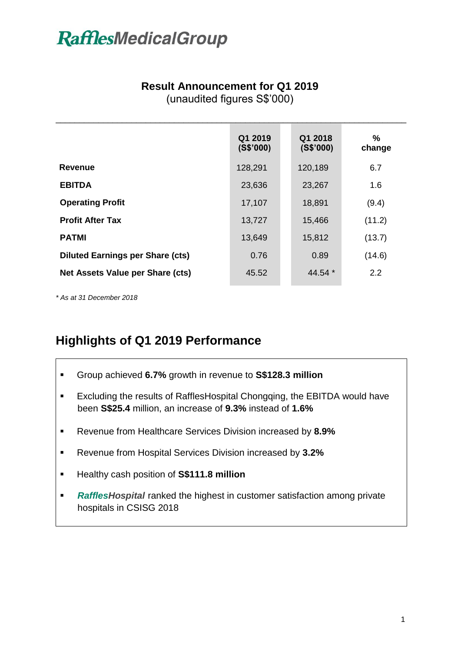#### **Result Announcement for Q1 2019**

(unaudited figures S\$'000)

|                                         | Q1 2019<br>(S\$'000) | Q1 2018<br>(S\$'000) | $\%$<br>change |
|-----------------------------------------|----------------------|----------------------|----------------|
| <b>Revenue</b>                          | 128,291              | 120,189              | 6.7            |
| <b>EBITDA</b>                           | 23,636               | 23,267               | 1.6            |
| <b>Operating Profit</b>                 | 17,107               | 18,891               | (9.4)          |
| <b>Profit After Tax</b>                 | 13,727               | 15,466               | (11.2)         |
| <b>PATMI</b>                            | 13,649               | 15,812               | (13.7)         |
| <b>Diluted Earnings per Share (cts)</b> | 0.76                 | 0.89                 | (14.6)         |
| Net Assets Value per Share (cts)        | 45.52                | 44.54 $*$            | 2.2            |
|                                         |                      |                      |                |

*\* As at 31 December 2018*

### **Highlights of Q1 2019 Performance**

- Group achieved **6.7%** growth in revenue to **S\$128.3 million**
- Excluding the results of RafflesHospital Chongqing, the EBITDA would have been **S\$25.4** million, an increase of **9.3%** instead of **1.6%**
- Revenue from Healthcare Services Division increased by **8.9%**
- Revenue from Hospital Services Division increased by **3.2%**
- Healthy cash position of **S\$111.8 million**
- *RafflesHospital* ranked the highest in customer satisfaction among private hospitals in CSISG 2018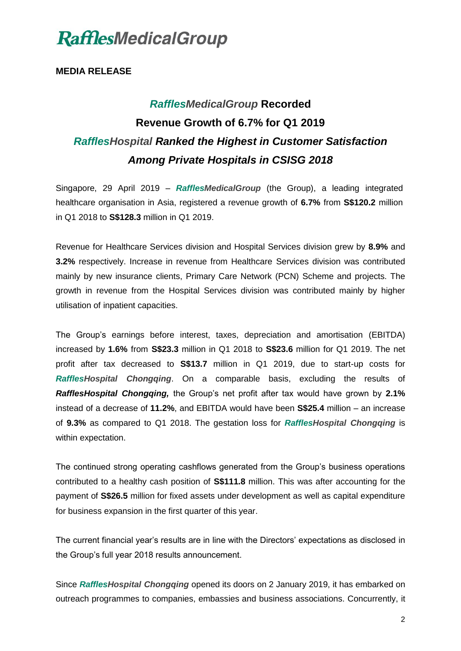#### **MEDIA RELEASE**

### *RafflesMedicalGroup* **Recorded Revenue Growth of 6.7% for Q1 2019** *RafflesHospital Ranked the Highest in Customer Satisfaction Among Private Hospitals in CSISG 2018*

Singapore, 29 April 2019 – *RafflesMedicalGroup* (the Group), a leading integrated healthcare organisation in Asia, registered a revenue growth of **6.7%** from **S\$120.2** million in Q1 2018 to **S\$128.3** million in Q1 2019.

Revenue for Healthcare Services division and Hospital Services division grew by **8.9%** and **3.2%** respectively. Increase in revenue from Healthcare Services division was contributed mainly by new insurance clients, Primary Care Network (PCN) Scheme and projects. The growth in revenue from the Hospital Services division was contributed mainly by higher utilisation of inpatient capacities.

The Group's earnings before interest, taxes, depreciation and amortisation (EBITDA) increased by **1.6%** from **S\$23.3** million in Q1 2018 to **S\$23.6** million for Q1 2019. The net profit after tax decreased to **S\$13.7** million in Q1 2019, due to start-up costs for *RafflesHospital Chongqing*. On a comparable basis, excluding the results of *RafflesHospital Chongqing,* the Group's net profit after tax would have grown by **2.1%** instead of a decrease of **11.2%**, and EBITDA would have been **S\$25.4** million – an increase of **9.3%** as compared to Q1 2018. The gestation loss for *RafflesHospital Chongqing* is within expectation.

The continued strong operating cashflows generated from the Group's business operations contributed to a healthy cash position of **S\$111.8** million. This was after accounting for the payment of **S\$26.5** million for fixed assets under development as well as capital expenditure for business expansion in the first quarter of this year.

The current financial year's results are in line with the Directors' expectations as disclosed in the Group's full year 2018 results announcement.

Since *RafflesHospital Chongqing* opened its doors on 2 January 2019, it has embarked on outreach programmes to companies, embassies and business associations. Concurrently, it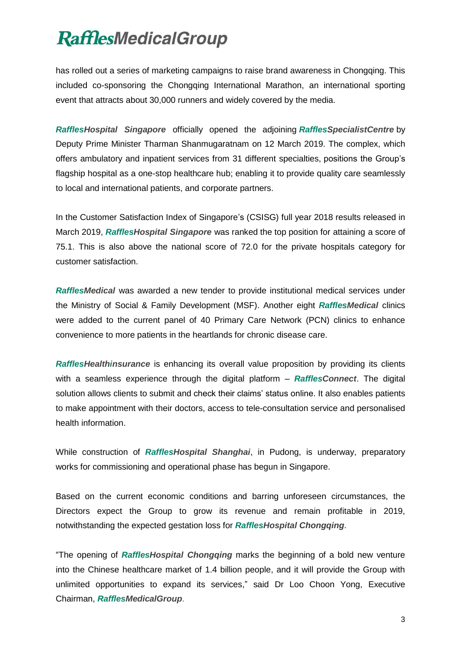has rolled out a series of marketing campaigns to raise brand awareness in Chongqing. This included co-sponsoring the Chongqing International Marathon, an international sporting event that attracts about 30,000 runners and widely covered by the media.

*RafflesHospital Singapore* officially opened the adjoining *RafflesSpecialistCentre* by Deputy Prime Minister Tharman Shanmugaratnam on 12 March 2019. The complex, which offers ambulatory and inpatient services from 31 different specialties, positions the Group's flagship hospital as a one-stop healthcare hub; enabling it to provide quality care seamlessly to local and international patients, and corporate partners.

In the Customer Satisfaction Index of Singapore's (CSISG) full year 2018 results released in March 2019, *RafflesHospital Singapore* was ranked the top position for attaining a score of 75.1. This is also above the national score of 72.0 for the private hospitals category for customer satisfaction.

*RafflesMedical* was awarded a new tender to provide institutional medical services under the Ministry of Social & Family Development (MSF). Another eight *RafflesMedical* clinics were added to the current panel of 40 Primary Care Network (PCN) clinics to enhance convenience to more patients in the heartlands for chronic disease care.

*RafflesHealthinsurance* is enhancing its overall value proposition by providing its clients with a seamless experience through the digital platform – *RafflesConnect*. The digital solution allows clients to submit and check their claims' status online. It also enables patients to make appointment with their doctors, access to tele-consultation service and personalised health information.

While construction of *RafflesHospital Shanghai*, in Pudong, is underway, preparatory works for commissioning and operational phase has begun in Singapore.

Based on the current economic conditions and barring unforeseen circumstances, the Directors expect the Group to grow its revenue and remain profitable in 2019, notwithstanding the expected gestation loss for *RafflesHospital Chongqing*.

"The opening of *RafflesHospital Chongqing* marks the beginning of a bold new venture into the Chinese healthcare market of 1.4 billion people, and it will provide the Group with unlimited opportunities to expand its services," said Dr Loo Choon Yong, Executive Chairman, *RafflesMedicalGroup*.